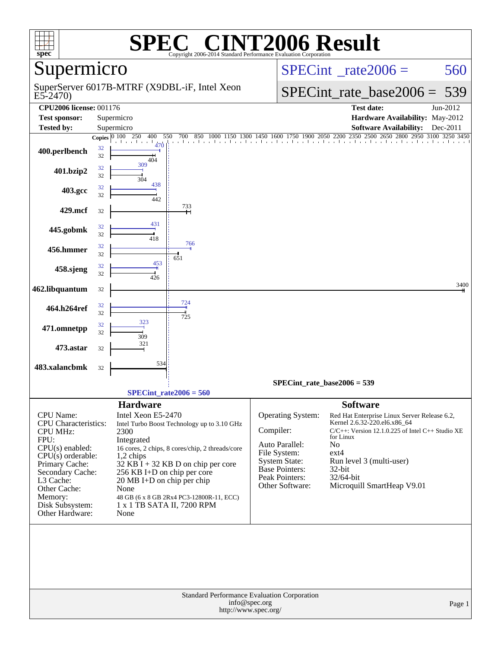| spec <sup>®</sup>                                                                                                                                                                                                                          |          |                                                                                                                                                                                                 | $\mathbf{P}(\mathbb{R})$<br>Copyright 2006-2014 Standard Performance Evaluation Corporation                                                                                        | VT2006 Result                                                                                                                                   |                                                                                                                                                                                                                                                                             |          |  |  |
|--------------------------------------------------------------------------------------------------------------------------------------------------------------------------------------------------------------------------------------------|----------|-------------------------------------------------------------------------------------------------------------------------------------------------------------------------------------------------|------------------------------------------------------------------------------------------------------------------------------------------------------------------------------------|-------------------------------------------------------------------------------------------------------------------------------------------------|-----------------------------------------------------------------------------------------------------------------------------------------------------------------------------------------------------------------------------------------------------------------------------|----------|--|--|
| Supermicro                                                                                                                                                                                                                                 |          |                                                                                                                                                                                                 |                                                                                                                                                                                    |                                                                                                                                                 | $SPECint^{\circ}$ rate $2006 =$                                                                                                                                                                                                                                             | 560      |  |  |
| $E5-2470$                                                                                                                                                                                                                                  |          |                                                                                                                                                                                                 | SuperServer 6017B-MTRF (X9DBL-iF, Intel Xeon                                                                                                                                       |                                                                                                                                                 | $SPECint_rate\_base2006 =$                                                                                                                                                                                                                                                  | 539      |  |  |
| <b>CPU2006 license: 001176</b>                                                                                                                                                                                                             |          |                                                                                                                                                                                                 |                                                                                                                                                                                    |                                                                                                                                                 | <b>Test date:</b>                                                                                                                                                                                                                                                           | Jun-2012 |  |  |
| <b>Test sponsor:</b>                                                                                                                                                                                                                       |          | Supermicro                                                                                                                                                                                      |                                                                                                                                                                                    |                                                                                                                                                 | Hardware Availability: May-2012                                                                                                                                                                                                                                             |          |  |  |
| <b>Tested by:</b>                                                                                                                                                                                                                          |          | Supermicro                                                                                                                                                                                      |                                                                                                                                                                                    |                                                                                                                                                 | <b>Software Availability:</b>                                                                                                                                                                                                                                               | Dec-2011 |  |  |
|                                                                                                                                                                                                                                            |          | Copies $\overline{0100}$ 250<br>400                                                                                                                                                             | 550<br>700<br>850                                                                                                                                                                  | 1600 1750 1900 2050 2200 2350<br>1450                                                                                                           | 2500 2650 2800 2950 3100 3250 3450                                                                                                                                                                                                                                          |          |  |  |
| 400.perlbench                                                                                                                                                                                                                              | 32<br>32 | 470<br>404                                                                                                                                                                                      |                                                                                                                                                                                    |                                                                                                                                                 | . 1 1 1 1 1 1 1 1 1 1 1 1 1 1 1 1 1 1 1                                                                                                                                                                                                                                     |          |  |  |
| 401.bzip2                                                                                                                                                                                                                                  | 32<br>32 | 309<br>304                                                                                                                                                                                      |                                                                                                                                                                                    |                                                                                                                                                 |                                                                                                                                                                                                                                                                             |          |  |  |
| 403.gcc                                                                                                                                                                                                                                    | 32<br>32 | 438<br>442                                                                                                                                                                                      |                                                                                                                                                                                    |                                                                                                                                                 |                                                                                                                                                                                                                                                                             |          |  |  |
| 429.mcf                                                                                                                                                                                                                                    | 32       |                                                                                                                                                                                                 | 733                                                                                                                                                                                |                                                                                                                                                 |                                                                                                                                                                                                                                                                             |          |  |  |
| 445.gobmk                                                                                                                                                                                                                                  | 32<br>32 | 431<br>418                                                                                                                                                                                      |                                                                                                                                                                                    |                                                                                                                                                 |                                                                                                                                                                                                                                                                             |          |  |  |
| 456.hmmer                                                                                                                                                                                                                                  | 32       |                                                                                                                                                                                                 | 766                                                                                                                                                                                |                                                                                                                                                 |                                                                                                                                                                                                                                                                             |          |  |  |
|                                                                                                                                                                                                                                            | 32<br>32 | 453                                                                                                                                                                                             | 651                                                                                                                                                                                |                                                                                                                                                 |                                                                                                                                                                                                                                                                             |          |  |  |
| 458.sjeng                                                                                                                                                                                                                                  | 32       | 426                                                                                                                                                                                             |                                                                                                                                                                                    |                                                                                                                                                 |                                                                                                                                                                                                                                                                             | 3400     |  |  |
| 462.libquantum                                                                                                                                                                                                                             | 32       |                                                                                                                                                                                                 |                                                                                                                                                                                    |                                                                                                                                                 |                                                                                                                                                                                                                                                                             |          |  |  |
| 464.h264ref                                                                                                                                                                                                                                | 32<br>32 |                                                                                                                                                                                                 | 724<br>725                                                                                                                                                                         |                                                                                                                                                 |                                                                                                                                                                                                                                                                             |          |  |  |
| 471.omnetpp                                                                                                                                                                                                                                | 32<br>32 | 323<br>309                                                                                                                                                                                      |                                                                                                                                                                                    |                                                                                                                                                 |                                                                                                                                                                                                                                                                             |          |  |  |
| 473.astar                                                                                                                                                                                                                                  | 32       | 321                                                                                                                                                                                             |                                                                                                                                                                                    |                                                                                                                                                 |                                                                                                                                                                                                                                                                             |          |  |  |
| 483.xalancbmk                                                                                                                                                                                                                              | 32       | 534                                                                                                                                                                                             |                                                                                                                                                                                    |                                                                                                                                                 |                                                                                                                                                                                                                                                                             |          |  |  |
|                                                                                                                                                                                                                                            |          |                                                                                                                                                                                                 |                                                                                                                                                                                    |                                                                                                                                                 | SPECint rate base2006 = $539$                                                                                                                                                                                                                                               |          |  |  |
|                                                                                                                                                                                                                                            |          |                                                                                                                                                                                                 | $SPECint_rate2006 = 560$                                                                                                                                                           |                                                                                                                                                 |                                                                                                                                                                                                                                                                             |          |  |  |
| <b>CPU</b> Name:<br><b>CPU</b> Characteristics:<br><b>CPU MHz:</b><br>FPU:<br>$CPU(s)$ enabled:<br>$CPU(s)$ orderable:<br>Primary Cache:<br>Secondary Cache:<br>L3 Cache:<br>Other Cache:<br>Memory:<br>Disk Subsystem:<br>Other Hardware: |          | <b>Hardware</b><br>Intel Xeon E5-2470<br>2300<br>Integrated<br>$1,2$ chips<br>256 KB I+D on chip per core<br>$20 \text{ MB I+D}$ on chip per chip<br>None<br>1 x 1 TB SATA II, 7200 RPM<br>None | Intel Turbo Boost Technology up to 3.10 GHz<br>16 cores, 2 chips, 8 cores/chip, 2 threads/core<br>$32$ KB I + 32 KB D on chip per core<br>48 GB (6 x 8 GB 2Rx4 PC3-12800R-11, ECC) | Operating System:<br>Compiler:<br>Auto Parallel:<br>File System:<br><b>System State:</b><br>Base Pointers:<br>Peak Pointers:<br>Other Software: | <b>Software</b><br>Red Hat Enterprise Linux Server Release 6.2,<br>Kernel 2.6.32-220.el6.x86_64<br>$C/C++$ : Version 12.1.0.225 of Intel $C++$ Studio XE<br>for Linux<br>No<br>$ext{4}$<br>Run level 3 (multi-user)<br>$32$ -bit<br>32/64-bit<br>Microquill SmartHeap V9.01 |          |  |  |
|                                                                                                                                                                                                                                            |          |                                                                                                                                                                                                 |                                                                                                                                                                                    | Standard Performance Evaluation Corporation<br>info@spec.org<br>http://www.spec.org/                                                            |                                                                                                                                                                                                                                                                             | Page 1   |  |  |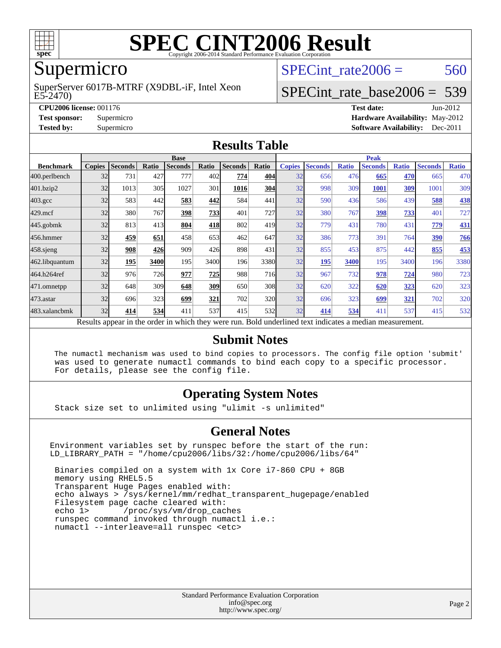

# **[SPEC CINT2006 Result](http://www.spec.org/auto/cpu2006/Docs/result-fields.html#SPECCINT2006Result)**

# Supermicro

#### E5-2470) SuperServer 6017B-MTRF (X9DBL-iF, Intel Xeon

SPECint rate $2006 = 560$ 

# [SPECint\\_rate\\_base2006 =](http://www.spec.org/auto/cpu2006/Docs/result-fields.html#SPECintratebase2006) 539

**[CPU2006 license:](http://www.spec.org/auto/cpu2006/Docs/result-fields.html#CPU2006license)** 001176 **[Test date:](http://www.spec.org/auto/cpu2006/Docs/result-fields.html#Testdate)** Jun-2012 **[Test sponsor:](http://www.spec.org/auto/cpu2006/Docs/result-fields.html#Testsponsor)** Supermicro **[Hardware Availability:](http://www.spec.org/auto/cpu2006/Docs/result-fields.html#HardwareAvailability)** May-2012 **[Tested by:](http://www.spec.org/auto/cpu2006/Docs/result-fields.html#Testedby)** Supermicro **Supermicro [Software Availability:](http://www.spec.org/auto/cpu2006/Docs/result-fields.html#SoftwareAvailability)** Dec-2011

#### **[Results Table](http://www.spec.org/auto/cpu2006/Docs/result-fields.html#ResultsTable)**

|                                                                                                          | <b>Base</b>   |                |       |                |       |                |            | <b>Peak</b>   |                |              |                |              |                |              |
|----------------------------------------------------------------------------------------------------------|---------------|----------------|-------|----------------|-------|----------------|------------|---------------|----------------|--------------|----------------|--------------|----------------|--------------|
| <b>Benchmark</b>                                                                                         | <b>Copies</b> | <b>Seconds</b> | Ratio | <b>Seconds</b> | Ratio | <b>Seconds</b> | Ratio      | <b>Copies</b> | <b>Seconds</b> | <b>Ratio</b> | <b>Seconds</b> | <b>Ratio</b> | <b>Seconds</b> | <b>Ratio</b> |
| 400.perlbench                                                                                            | 32            | 731            | 427   | 777            | 402   | 774            | 404        | 32            | 656            | 476          | 665            | 470          | 665            | 470          |
| 401.bzip2                                                                                                | 32            | 1013           | 305   | 1027           | 301   | 1016           | <b>304</b> | 32            | 998            | 309          | 1001           | 309          | 1001           | 309          |
| $403.\mathrm{gcc}$                                                                                       | 32            | 583            | 442   | 583            | 442   | 584            | 441        | 32            | 590            | 436          | 586            | 439          | 588            | 438          |
| $429$ .mcf                                                                                               | 32            | 380            | 767   | 398            | 733   | 401            | 727        | 32            | 380            | 767          | 398            | 733          | 401            | 727          |
| $445$ .gobmk                                                                                             | 32            | 813            | 413   | 804            | 418   | 802            | 419        | 32            | 779            | 431          | 780            | 431          | 779            | <b>431</b>   |
| 456.hmmer                                                                                                | 32            | 459            | 651   | 458            | 653   | 462            | 647        | 32            | 386            | 773          | 391            | 764          | 390            | 766          |
| $458$ .sjeng                                                                                             | 32            | 908            | 426   | 909            | 426   | 898            | 431        | 32            | 855            | 453          | 875            | 442          | 855            | 453          |
| 462.libquantum                                                                                           | 32            | 195            | 3400  | 195            | 3400  | 196            | 3380       | 32            | <u>195</u>     | 3400         | 195            | 3400         | 196            | 3380         |
| 464.h264ref                                                                                              | 32            | 976            | 726   | 977            | 725   | 988            | <b>716</b> | 32            | 967            | 732          | 978            | 724          | 980            | 723          |
| 471.omnetpp                                                                                              | 32            | 648            | 309   | 648            | 309   | 650            | 308        | 32            | 620            | 322          | 620            | 323          | 620            | 323          |
| $473$ . astar                                                                                            | 32            | 696            | 323   | 699            | 321   | 702            | <b>320</b> | 32            | 696            | 323          | 699            | 321          | 702            | 320          |
| 483.xalancbmk                                                                                            | 32            | 414            | 534   | 411            | 537   | 415            | 532        | 32            | 414            | 534          | 411            | 537          | 415            | 532          |
| Results appear in the order in which they were run. Bold underlined text indicates a median measurement. |               |                |       |                |       |                |            |               |                |              |                |              |                |              |

#### **[Submit Notes](http://www.spec.org/auto/cpu2006/Docs/result-fields.html#SubmitNotes)**

 The numactl mechanism was used to bind copies to processors. The config file option 'submit' was used to generate numactl commands to bind each copy to a specific processor. For details, please see the config file.

### **[Operating System Notes](http://www.spec.org/auto/cpu2006/Docs/result-fields.html#OperatingSystemNotes)**

Stack size set to unlimited using "ulimit -s unlimited"

#### **[General Notes](http://www.spec.org/auto/cpu2006/Docs/result-fields.html#GeneralNotes)**

Environment variables set by runspec before the start of the run: LD\_LIBRARY\_PATH = "/home/cpu2006/libs/32:/home/cpu2006/libs/64"

 Binaries compiled on a system with 1x Core i7-860 CPU + 8GB memory using RHEL5.5 Transparent Huge Pages enabled with: echo always > /sys/kernel/mm/redhat\_transparent\_hugepage/enabled Filesystem page cache cleared with: echo 1> /proc/sys/vm/drop\_caches runspec command invoked through numactl i.e.: numactl --interleave=all runspec <etc>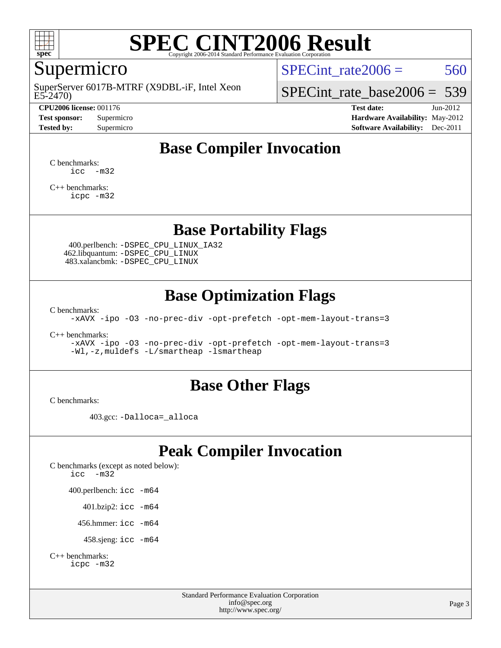

# **[SPEC CINT2006 Result](http://www.spec.org/auto/cpu2006/Docs/result-fields.html#SPECCINT2006Result)**

# Supermicro

E5-2470) SuperServer 6017B-MTRF (X9DBL-iF, Intel Xeon

#### **[CPU2006 license:](http://www.spec.org/auto/cpu2006/Docs/result-fields.html#CPU2006license)** 001176 **[Test date:](http://www.spec.org/auto/cpu2006/Docs/result-fields.html#Testdate)** Jun-2012

SPECint rate $2006 = 560$ 

[SPECint\\_rate\\_base2006 =](http://www.spec.org/auto/cpu2006/Docs/result-fields.html#SPECintratebase2006) 539

**[Test sponsor:](http://www.spec.org/auto/cpu2006/Docs/result-fields.html#Testsponsor)** Supermicro **[Hardware Availability:](http://www.spec.org/auto/cpu2006/Docs/result-fields.html#HardwareAvailability)** May-2012 **[Tested by:](http://www.spec.org/auto/cpu2006/Docs/result-fields.html#Testedby)** Supermicro **Supermicro [Software Availability:](http://www.spec.org/auto/cpu2006/Docs/result-fields.html#SoftwareAvailability)** Dec-2011

# **[Base Compiler Invocation](http://www.spec.org/auto/cpu2006/Docs/result-fields.html#BaseCompilerInvocation)**

[C benchmarks](http://www.spec.org/auto/cpu2006/Docs/result-fields.html#Cbenchmarks): [icc -m32](http://www.spec.org/cpu2006/results/res2012q3/cpu2006-20120820-24252.flags.html#user_CCbase_intel_icc_5ff4a39e364c98233615fdd38438c6f2)

[C++ benchmarks:](http://www.spec.org/auto/cpu2006/Docs/result-fields.html#CXXbenchmarks) [icpc -m32](http://www.spec.org/cpu2006/results/res2012q3/cpu2006-20120820-24252.flags.html#user_CXXbase_intel_icpc_4e5a5ef1a53fd332b3c49e69c3330699)

## **[Base Portability Flags](http://www.spec.org/auto/cpu2006/Docs/result-fields.html#BasePortabilityFlags)**

 400.perlbench: [-DSPEC\\_CPU\\_LINUX\\_IA32](http://www.spec.org/cpu2006/results/res2012q3/cpu2006-20120820-24252.flags.html#b400.perlbench_baseCPORTABILITY_DSPEC_CPU_LINUX_IA32) 462.libquantum: [-DSPEC\\_CPU\\_LINUX](http://www.spec.org/cpu2006/results/res2012q3/cpu2006-20120820-24252.flags.html#b462.libquantum_baseCPORTABILITY_DSPEC_CPU_LINUX) 483.xalancbmk: [-DSPEC\\_CPU\\_LINUX](http://www.spec.org/cpu2006/results/res2012q3/cpu2006-20120820-24252.flags.html#b483.xalancbmk_baseCXXPORTABILITY_DSPEC_CPU_LINUX)

## **[Base Optimization Flags](http://www.spec.org/auto/cpu2006/Docs/result-fields.html#BaseOptimizationFlags)**

[C benchmarks](http://www.spec.org/auto/cpu2006/Docs/result-fields.html#Cbenchmarks):

[-xAVX](http://www.spec.org/cpu2006/results/res2012q3/cpu2006-20120820-24252.flags.html#user_CCbase_f-xAVX) [-ipo](http://www.spec.org/cpu2006/results/res2012q3/cpu2006-20120820-24252.flags.html#user_CCbase_f-ipo) [-O3](http://www.spec.org/cpu2006/results/res2012q3/cpu2006-20120820-24252.flags.html#user_CCbase_f-O3) [-no-prec-div](http://www.spec.org/cpu2006/results/res2012q3/cpu2006-20120820-24252.flags.html#user_CCbase_f-no-prec-div) [-opt-prefetch](http://www.spec.org/cpu2006/results/res2012q3/cpu2006-20120820-24252.flags.html#user_CCbase_f-opt-prefetch) [-opt-mem-layout-trans=3](http://www.spec.org/cpu2006/results/res2012q3/cpu2006-20120820-24252.flags.html#user_CCbase_f-opt-mem-layout-trans_a7b82ad4bd7abf52556d4961a2ae94d5)

[C++ benchmarks:](http://www.spec.org/auto/cpu2006/Docs/result-fields.html#CXXbenchmarks)

[-xAVX](http://www.spec.org/cpu2006/results/res2012q3/cpu2006-20120820-24252.flags.html#user_CXXbase_f-xAVX) [-ipo](http://www.spec.org/cpu2006/results/res2012q3/cpu2006-20120820-24252.flags.html#user_CXXbase_f-ipo) [-O3](http://www.spec.org/cpu2006/results/res2012q3/cpu2006-20120820-24252.flags.html#user_CXXbase_f-O3) [-no-prec-div](http://www.spec.org/cpu2006/results/res2012q3/cpu2006-20120820-24252.flags.html#user_CXXbase_f-no-prec-div) [-opt-prefetch](http://www.spec.org/cpu2006/results/res2012q3/cpu2006-20120820-24252.flags.html#user_CXXbase_f-opt-prefetch) [-opt-mem-layout-trans=3](http://www.spec.org/cpu2006/results/res2012q3/cpu2006-20120820-24252.flags.html#user_CXXbase_f-opt-mem-layout-trans_a7b82ad4bd7abf52556d4961a2ae94d5) [-Wl,-z,muldefs](http://www.spec.org/cpu2006/results/res2012q3/cpu2006-20120820-24252.flags.html#user_CXXbase_link_force_multiple1_74079c344b956b9658436fd1b6dd3a8a) [-L/smartheap -lsmartheap](http://www.spec.org/cpu2006/results/res2012q3/cpu2006-20120820-24252.flags.html#user_CXXbase_SmartHeap_7c9e394a5779e1a7fec7c221e123830c)

### **[Base Other Flags](http://www.spec.org/auto/cpu2006/Docs/result-fields.html#BaseOtherFlags)**

[C benchmarks](http://www.spec.org/auto/cpu2006/Docs/result-fields.html#Cbenchmarks):

403.gcc: [-Dalloca=\\_alloca](http://www.spec.org/cpu2006/results/res2012q3/cpu2006-20120820-24252.flags.html#b403.gcc_baseEXTRA_CFLAGS_Dalloca_be3056838c12de2578596ca5467af7f3)

# **[Peak Compiler Invocation](http://www.spec.org/auto/cpu2006/Docs/result-fields.html#PeakCompilerInvocation)**

[C benchmarks \(except as noted below\)](http://www.spec.org/auto/cpu2006/Docs/result-fields.html#Cbenchmarksexceptasnotedbelow): [icc -m32](http://www.spec.org/cpu2006/results/res2012q3/cpu2006-20120820-24252.flags.html#user_CCpeak_intel_icc_5ff4a39e364c98233615fdd38438c6f2) 400.perlbench: [icc -m64](http://www.spec.org/cpu2006/results/res2012q3/cpu2006-20120820-24252.flags.html#user_peakCCLD400_perlbench_intel_icc_64bit_bda6cc9af1fdbb0edc3795bac97ada53) 401.bzip2: [icc -m64](http://www.spec.org/cpu2006/results/res2012q3/cpu2006-20120820-24252.flags.html#user_peakCCLD401_bzip2_intel_icc_64bit_bda6cc9af1fdbb0edc3795bac97ada53)

456.hmmer: [icc -m64](http://www.spec.org/cpu2006/results/res2012q3/cpu2006-20120820-24252.flags.html#user_peakCCLD456_hmmer_intel_icc_64bit_bda6cc9af1fdbb0edc3795bac97ada53)

458.sjeng: [icc -m64](http://www.spec.org/cpu2006/results/res2012q3/cpu2006-20120820-24252.flags.html#user_peakCCLD458_sjeng_intel_icc_64bit_bda6cc9af1fdbb0edc3795bac97ada53)

```
C++ benchmarks: 
    icpc -m32
```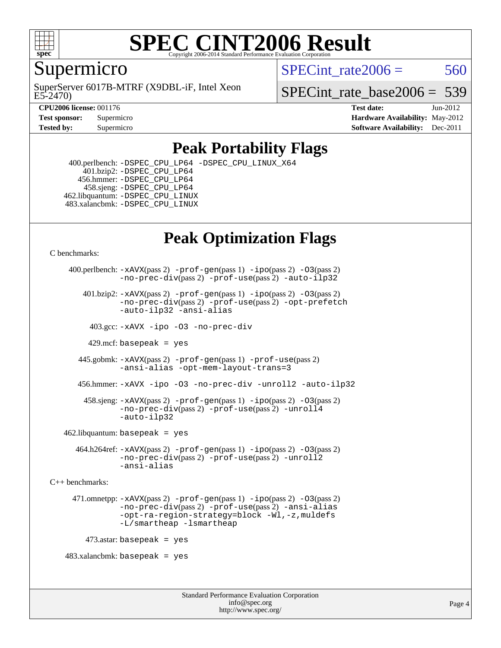

### **[SPEC CINT2006 Result](http://www.spec.org/auto/cpu2006/Docs/result-fields.html#SPECCINT2006Result)** Copyright 2006-2014 Standard Performance Evaluation C

## Supermicro

E5-2470) SuperServer 6017B-MTRF (X9DBL-iF, Intel Xeon SPECint rate $2006 = 560$ 

SPECint rate base  $2006 = 539$ 

**[CPU2006 license:](http://www.spec.org/auto/cpu2006/Docs/result-fields.html#CPU2006license)** 001176 **[Test date:](http://www.spec.org/auto/cpu2006/Docs/result-fields.html#Testdate)** Jun-2012 **[Test sponsor:](http://www.spec.org/auto/cpu2006/Docs/result-fields.html#Testsponsor)** Supermicro Supermicro **[Hardware Availability:](http://www.spec.org/auto/cpu2006/Docs/result-fields.html#HardwareAvailability)** May-2012 **[Tested by:](http://www.spec.org/auto/cpu2006/Docs/result-fields.html#Testedby)** Supermicro **Supermicro [Software Availability:](http://www.spec.org/auto/cpu2006/Docs/result-fields.html#SoftwareAvailability)** Dec-2011

# **[Peak Portability Flags](http://www.spec.org/auto/cpu2006/Docs/result-fields.html#PeakPortabilityFlags)**

 400.perlbench: [-DSPEC\\_CPU\\_LP64](http://www.spec.org/cpu2006/results/res2012q3/cpu2006-20120820-24252.flags.html#b400.perlbench_peakCPORTABILITY_DSPEC_CPU_LP64) [-DSPEC\\_CPU\\_LINUX\\_X64](http://www.spec.org/cpu2006/results/res2012q3/cpu2006-20120820-24252.flags.html#b400.perlbench_peakCPORTABILITY_DSPEC_CPU_LINUX_X64) 401.bzip2: [-DSPEC\\_CPU\\_LP64](http://www.spec.org/cpu2006/results/res2012q3/cpu2006-20120820-24252.flags.html#suite_peakCPORTABILITY401_bzip2_DSPEC_CPU_LP64) 456.hmmer: [-DSPEC\\_CPU\\_LP64](http://www.spec.org/cpu2006/results/res2012q3/cpu2006-20120820-24252.flags.html#suite_peakCPORTABILITY456_hmmer_DSPEC_CPU_LP64) 458.sjeng: [-DSPEC\\_CPU\\_LP64](http://www.spec.org/cpu2006/results/res2012q3/cpu2006-20120820-24252.flags.html#suite_peakCPORTABILITY458_sjeng_DSPEC_CPU_LP64) 462.libquantum: [-DSPEC\\_CPU\\_LINUX](http://www.spec.org/cpu2006/results/res2012q3/cpu2006-20120820-24252.flags.html#b462.libquantum_peakCPORTABILITY_DSPEC_CPU_LINUX) 483.xalancbmk: [-DSPEC\\_CPU\\_LINUX](http://www.spec.org/cpu2006/results/res2012q3/cpu2006-20120820-24252.flags.html#b483.xalancbmk_peakCXXPORTABILITY_DSPEC_CPU_LINUX)

# **[Peak Optimization Flags](http://www.spec.org/auto/cpu2006/Docs/result-fields.html#PeakOptimizationFlags)**

[C benchmarks](http://www.spec.org/auto/cpu2006/Docs/result-fields.html#Cbenchmarks):

```
 400.perlbench: -xAVX(pass 2) -prof-gen(pass 1) -ipo(pass 2) -O3(pass 2)
                -no-prec-div(pass 2) -prof-use(pass 2) -auto-ilp32
        401.bzip2: -xAVX(pass 2) -prof-gen(pass 1) -ipo(pass 2) -O3(pass 2)
                -no-prec-div(pass 2) -prof-use(pass 2) -opt-prefetch
                -auto-ilp32 -ansi-alias
          403.gcc: -xAVX -ipo -O3 -no-prec-div
         429.mcf: basepeak = yes
       445.gobmk: -xAVX(pass 2) -prof-gen(pass 1) -prof-use(pass 2)
                -ansi-alias -opt-mem-layout-trans=3
       456.hmmer: -xAVX -ipo -O3 -no-prec-div -unroll2 -auto-ilp32
         458.sjeng: -xAVX(pass 2) -prof-gen(pass 1) -ipo(pass 2) -O3(pass 2)
                -no-prec-div(pass 2) -prof-use(pass 2) -unroll4
                -auto-ilp32
   462.libquantum: basepeak = yes
       464.h264ref: -xAVX(pass 2) -prof-gen(pass 1) -ipo(pass 2) -O3(pass 2)
                -no-prec-div(pass 2) -prof-use(pass 2) -unroll2
                -ansi-alias
C++ benchmarks: 
      471.omnetpp: -xAVX(pass 2) -prof-gen(pass 1) -ipo(pass 2) -O3(pass 2)
                -no-prec-div(pass 2) -prof-use(pass 2) -ansi-alias
                -opt-ra-region-strategy=block -Wl,-z,muldefs
                -L/smartheap -lsmartheap
        473.astar: basepeak = yes
   483.xalanchmk: basepeak = yes
```